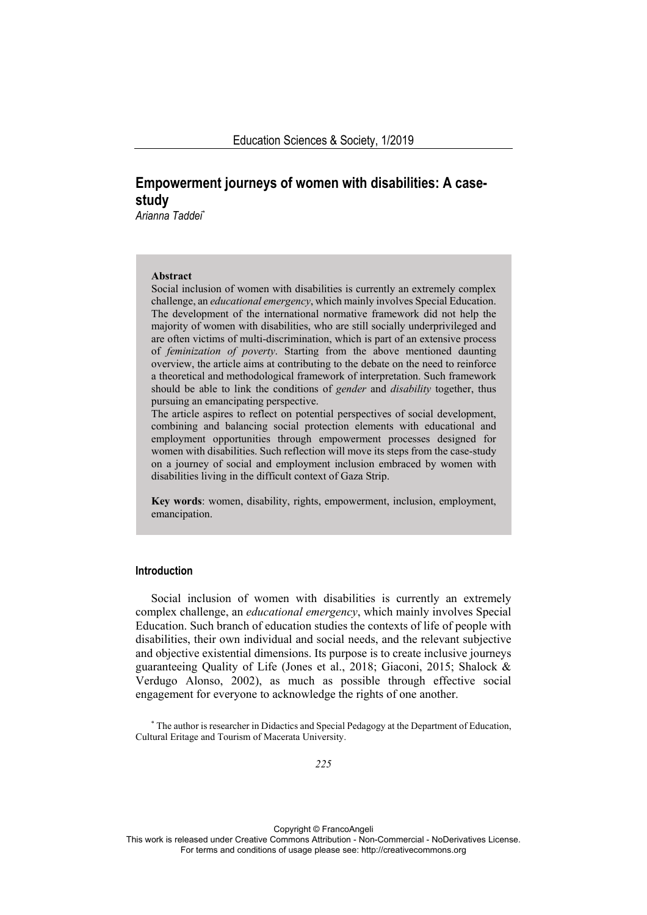# **Empowerment journeys of women with disabilities: A casestudy**

*Arianna Taddei\** 

### **Abstract**

Social inclusion of women with disabilities is currently an extremely complex challenge, an *educational emergency*, which mainly involves Special Education. The development of the international normative framework did not help the majority of women with disabilities, who are still socially underprivileged and are often victims of multi-discrimination, which is part of an extensive process of *feminization of poverty*. Starting from the above mentioned daunting overview, the article aims at contributing to the debate on the need to reinforce a theoretical and methodological framework of interpretation. Such framework should be able to link the conditions of *gender* and *disability* together, thus pursuing an emancipating perspective.

The article aspires to reflect on potential perspectives of social development, combining and balancing social protection elements with educational and employment opportunities through empowerment processes designed for women with disabilities. Such reflection will move its steps from the case-study on a journey of social and employment inclusion embraced by women with disabilities living in the difficult context of Gaza Strip.

**Key words**: women, disability, rights, empowerment, inclusion, employment, emancipation.

# **Introduction**

Social inclusion of women with disabilities is currently an extremely complex challenge, an *educational emergency*, which mainly involves Special Education. Such branch of education studies the contexts of life of people with disabilities, their own individual and social needs, and the relevant subjective and objective existential dimensions. Its purpose is to create inclusive journeys guaranteeing Quality of Life (Jones et al., 2018; Giaconi, 2015; Shalock & Verdugo Alonso, 2002), as much as possible through effective social engagement for everyone to acknowledge the rights of one another.

Copyright © FrancoAngeli

<sup>\*</sup> The author is researcher in Didactics and Special Pedagogy at the Department of Education, Cultural Eritage and Tourism of Macerata University.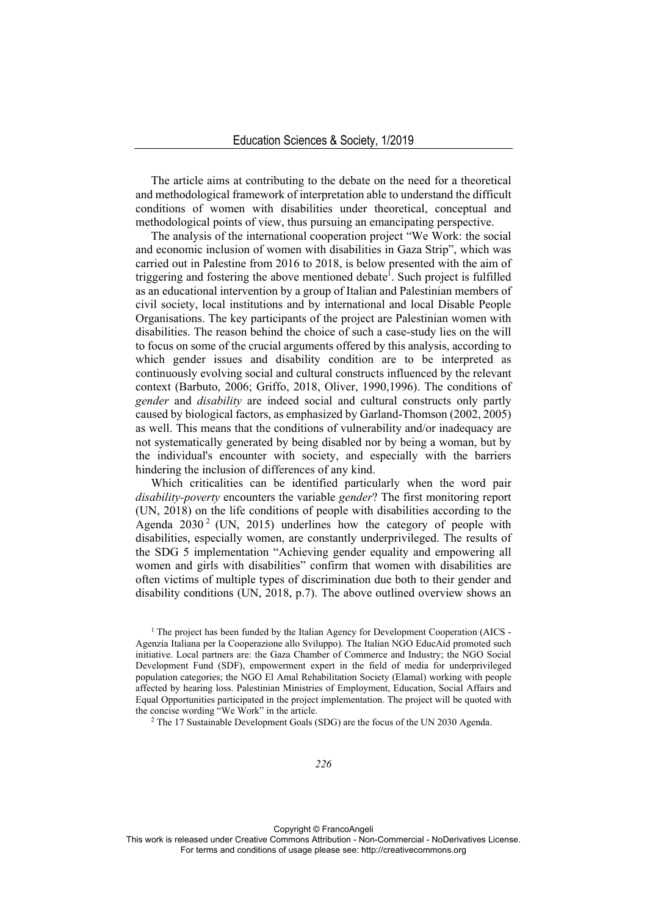The article aims at contributing to the debate on the need for a theoretical and methodological framework of interpretation able to understand the difficult conditions of women with disabilities under theoretical, conceptual and methodological points of view, thus pursuing an emancipating perspective.

The analysis of the international cooperation project "We Work: the social and economic inclusion of women with disabilities in Gaza Strip", which was carried out in Palestine from 2016 to 2018, is below presented with the aim of triggering and fostering the above mentioned debate<sup> $\overline{I}$ </sup>. Such project is fulfilled as an educational intervention by a group of Italian and Palestinian members of civil society, local institutions and by international and local Disable People Organisations. The key participants of the project are Palestinian women with disabilities. The reason behind the choice of such a case-study lies on the will to focus on some of the crucial arguments offered by this analysis, according to which gender issues and disability condition are to be interpreted as continuously evolving social and cultural constructs influenced by the relevant context (Barbuto, 2006; Griffo, 2018, Oliver, 1990,1996). The conditions of *gender* and *disability* are indeed social and cultural constructs only partly caused by biological factors, as emphasized by Garland-Thomson (2002, 2005) as well. This means that the conditions of vulnerability and/or inadequacy are not systematically generated by being disabled nor by being a woman, but by the individual's encounter with society, and especially with the barriers hindering the inclusion of differences of any kind.

Which criticalities can be identified particularly when the word pair *disability-poverty* encounters the variable *gender*? The first monitoring report (UN, 2018) on the life conditions of people with disabilities according to the Agenda  $2030^2$  (UN, 2015) underlines how the category of people with disabilities, especially women, are constantly underprivileged. The results of the SDG 5 implementation "Achieving gender equality and empowering all women and girls with disabilities" confirm that women with disabilities are often victims of multiple types of discrimination due both to their gender and disability conditions (UN, 2018, p.7). The above outlined overview shows an

<sup>1</sup> The project has been funded by the Italian Agency for Development Cooperation (AICS -Agenzia Italiana per la Cooperazione allo Sviluppo). The Italian NGO EducAid promoted such initiative. Local partners are: the Gaza Chamber of Commerce and Industry; the NGO Social Development Fund (SDF), empowerment expert in the field of media for underprivileged population categories; the NGO El Amal Rehabilitation Society (Elamal) working with people affected by hearing loss. Palestinian Ministries of Employment, Education, Social Affairs and Equal Opportunities participated in the project implementation. The project will be quoted with the concise wording "We Work" in the article.<br><sup>2</sup> The 17 Sustainable Development Goals (SDG) are the focus of the UN 2030 Agenda.

Copyright © FrancoAngeli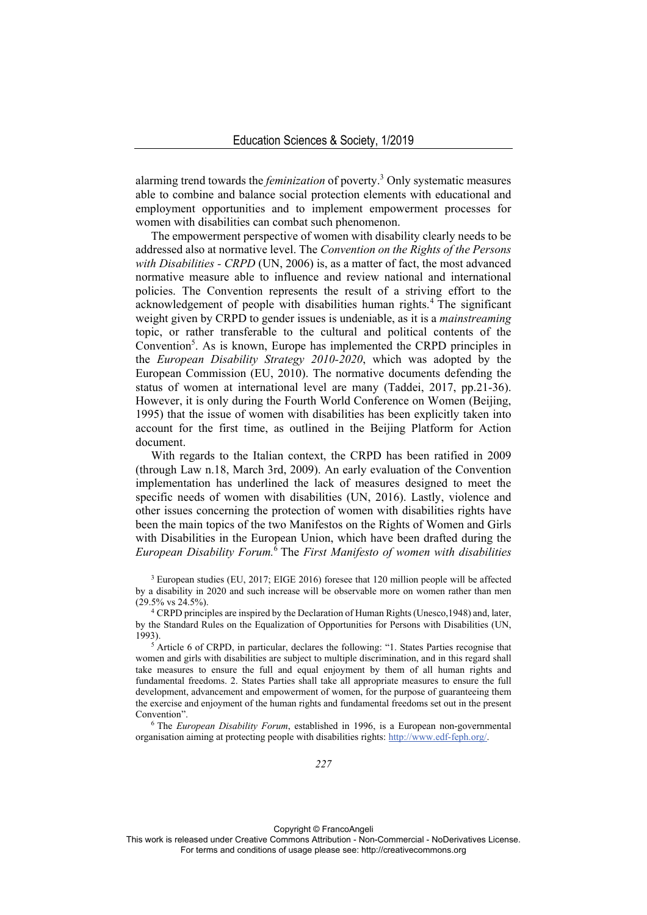alarming trend towards the *feminization* of poverty.3 Only systematic measures able to combine and balance social protection elements with educational and employment opportunities and to implement empowerment processes for women with disabilities can combat such phenomenon.

The empowerment perspective of women with disability clearly needs to be addressed also at normative level. The *Convention on the Rights of the Persons with Disabilities - CRPD* (UN, 2006) is, as a matter of fact, the most advanced normative measure able to influence and review national and international policies. The Convention represents the result of a striving effort to the acknowledgement of people with disabilities human rights.<sup>4</sup> The significant weight given by CRPD to gender issues is undeniable, as it is a *mainstreaming* topic, or rather transferable to the cultural and political contents of the Convention<sup>5</sup>. As is known, Europe has implemented the CRPD principles in the *European Disability Strategy 2010-2020*, which was adopted by the European Commission (EU, 2010). The normative documents defending the status of women at international level are many (Taddei, 2017, pp.21-36). However, it is only during the Fourth World Conference on Women (Beijing, 1995) that the issue of women with disabilities has been explicitly taken into account for the first time, as outlined in the Beijing Platform for Action document.

With regards to the Italian context, the CRPD has been ratified in 2009 (through Law n.18, March 3rd, 2009). An early evaluation of the Convention implementation has underlined the lack of measures designed to meet the specific needs of women with disabilities (UN, 2016). Lastly, violence and other issues concerning the protection of women with disabilities rights have been the main topics of the two Manifestos on the Rights of Women and Girls with Disabilities in the European Union, which have been drafted during the *European Disability Forum.*<sup>6</sup> The *First Manifesto of women with disabilities*

3 European studies (EU, 2017; EIGE 2016) foresee that 120 million people will be affected by a disability in 2020 and such increase will be observable more on women rather than men

<sup>4</sup> CRPD principles are inspired by the Declaration of Human Rights (Unesco, 1948) and, later, by the Standard Rules on the Equalization of Opportunities for Persons with Disabilities (UN, 1993). 5 Article 6 of CRPD, in particular, declares the following: "1. States Parties recognise that

women and girls with disabilities are subject to multiple discrimination, and in this regard shall take measures to ensure the full and equal enjoyment by them of all human rights and fundamental freedoms. 2. States Parties shall take all appropriate measures to ensure the full development, advancement and empowerment of women, for the purpose of guaranteeing them the exercise and enjoyment of the human rights and fundamental freedoms set out in the present Convention". 6 The *European Disability Forum*, established in 1996, is a European non-governmental

organisation aiming at protecting people with disabilities rights: http://www.edf-feph.org/.

Copyright © FrancoAngeli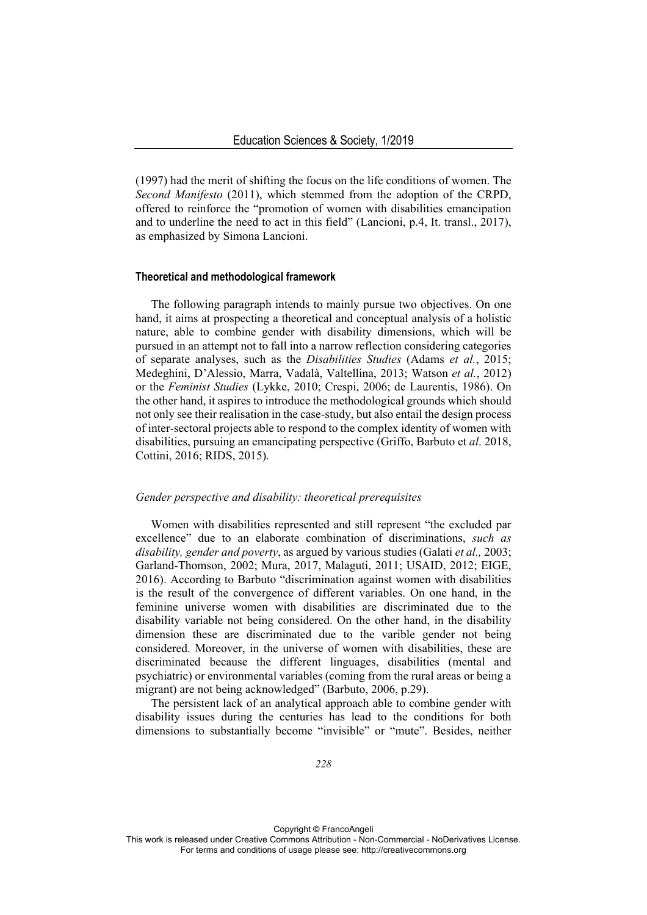(1997) had the merit of shifting the focus on the life conditions of women. The *Second Manifesto* (2011), which stemmed from the adoption of the CRPD, offered to reinforce the "promotion of women with disabilities emancipation and to underline the need to act in this field" (Lancioni, p.4, It. transl., 2017), as emphasized by Simona Lancioni.

### **Theoretical and methodological framework**

The following paragraph intends to mainly pursue two objectives. On one hand, it aims at prospecting a theoretical and conceptual analysis of a holistic nature, able to combine gender with disability dimensions, which will be pursued in an attempt not to fall into a narrow reflection considering categories of separate analyses, such as the *Disabilities Studies* (Adams *et al.*, 2015; Medeghini, D'Alessio, Marra, Vadalà, Valtellina, 2013; Watson *et al.*, 2012) or the *Feminist Studies* (Lykke, 2010; Crespi, 2006; de Laurentis, 1986). On the other hand, it aspires to introduce the methodological grounds which should not only see their realisation in the case-study, but also entail the design process of inter-sectoral projects able to respond to the complex identity of women with disabilities, pursuing an emancipating perspective (Griffo, Barbuto et *al*. 2018, Cottini, 2016; RIDS, 2015).

# *Gender perspective and disability: theoretical prerequisites*

Women with disabilities represented and still represent "the excluded par excellence" due to an elaborate combination of discriminations, *such as disability, gender and poverty*, as argued by various studies (Galati *et al.,* 2003; Garland-Thomson, 2002; Mura, 2017, Malaguti, 2011; USAID, 2012; EIGE, 2016). According to Barbuto "discrimination against women with disabilities is the result of the convergence of different variables. On one hand, in the feminine universe women with disabilities are discriminated due to the disability variable not being considered. On the other hand, in the disability dimension these are discriminated due to the varible gender not being considered. Moreover, in the universe of women with disabilities, these are discriminated because the different linguages, disabilities (mental and psychiatric) or environmental variables (coming from the rural areas or being a migrant) are not being acknowledged" (Barbuto, 2006, p.29).

The persistent lack of an analytical approach able to combine gender with disability issues during the centuries has lead to the conditions for both dimensions to substantially become "invisible" or "mute". Besides, neither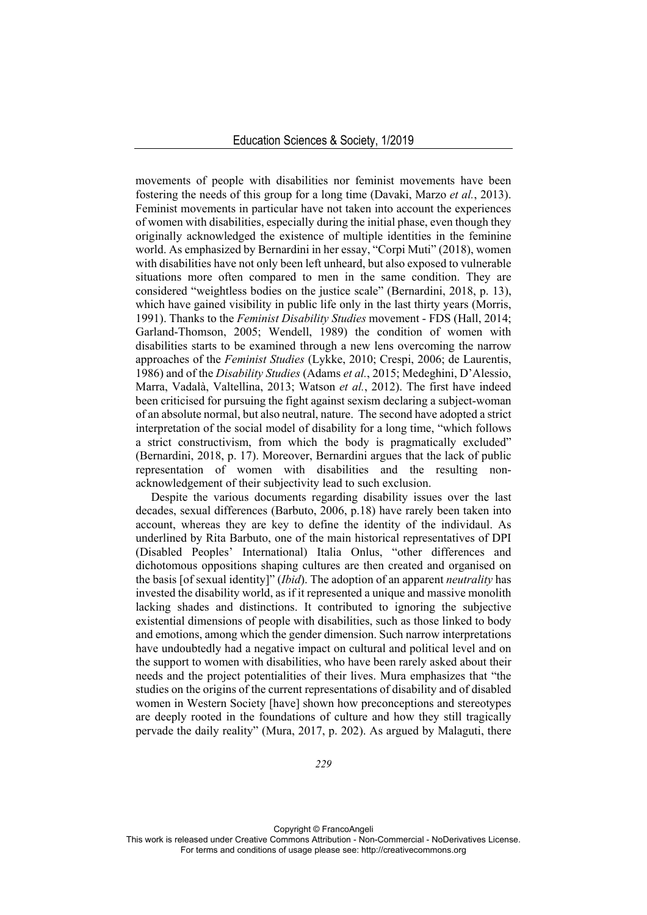movements of people with disabilities nor feminist movements have been fostering the needs of this group for a long time (Davaki, Marzo *et al.*, 2013). Feminist movements in particular have not taken into account the experiences of women with disabilities, especially during the initial phase, even though they originally acknowledged the existence of multiple identities in the feminine world. As emphasized by Bernardini in her essay, "Corpi Muti" (2018), women with disabilities have not only been left unheard, but also exposed to vulnerable situations more often compared to men in the same condition. They are considered "weightless bodies on the justice scale" (Bernardini, 2018, p. 13), which have gained visibility in public life only in the last thirty years (Morris, 1991). Thanks to the *Feminist Disability Studies* movement - FDS (Hall, 2014; Garland-Thomson, 2005; Wendell, 1989) the condition of women with disabilities starts to be examined through a new lens overcoming the narrow approaches of the *Feminist Studies* (Lykke, 2010; Crespi, 2006; de Laurentis, 1986) and of the *Disability Studies* (Adams *et al.*, 2015; Medeghini, D'Alessio, Marra, Vadalà, Valtellina, 2013; Watson *et al.*, 2012). The first have indeed been criticised for pursuing the fight against sexism declaring a subject-woman of an absolute normal, but also neutral, nature. The second have adopted a strict interpretation of the social model of disability for a long time, "which follows a strict constructivism, from which the body is pragmatically excluded" (Bernardini, 2018, p. 17). Moreover, Bernardini argues that the lack of public representation of women with disabilities and the resulting nonacknowledgement of their subjectivity lead to such exclusion.

Despite the various documents regarding disability issues over the last decades, sexual differences (Barbuto, 2006, p.18) have rarely been taken into account, whereas they are key to define the identity of the individaul. As underlined by Rita Barbuto, one of the main historical representatives of DPI (Disabled Peoples' International) Italia Onlus, "other differences and dichotomous oppositions shaping cultures are then created and organised on the basis [of sexual identity]" (*Ibid*). The adoption of an apparent *neutrality* has invested the disability world, as if it represented a unique and massive monolith lacking shades and distinctions. It contributed to ignoring the subjective existential dimensions of people with disabilities, such as those linked to body and emotions, among which the gender dimension. Such narrow interpretations have undoubtedly had a negative impact on cultural and political level and on the support to women with disabilities, who have been rarely asked about their needs and the project potentialities of their lives. Mura emphasizes that "the studies on the origins of the current representations of disability and of disabled women in Western Society [have] shown how preconceptions and stereotypes are deeply rooted in the foundations of culture and how they still tragically pervade the daily reality" (Mura, 2017, p. 202). As argued by Malaguti, there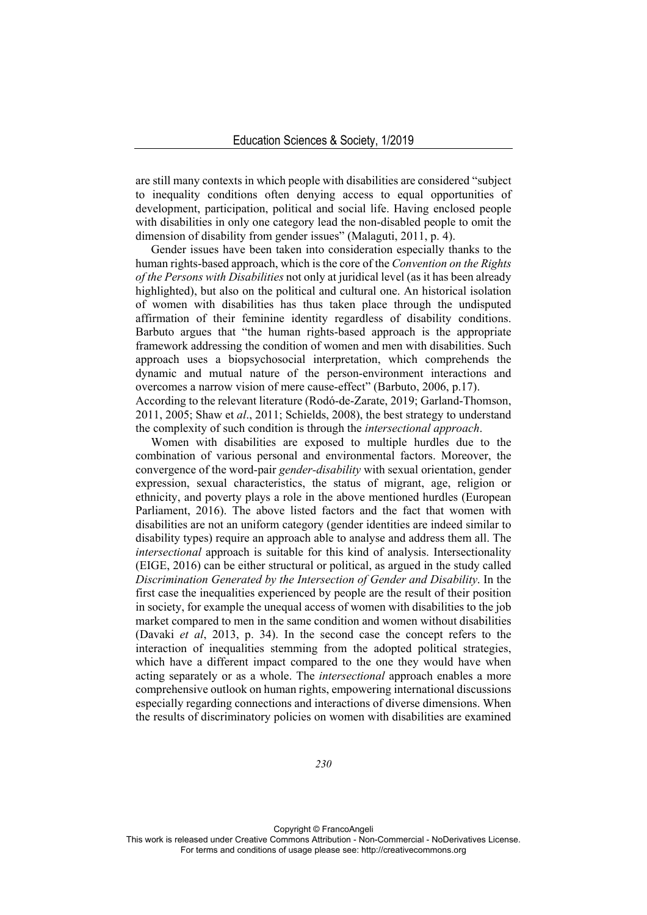are still many contexts in which people with disabilities are considered "subject to inequality conditions often denying access to equal opportunities of development, participation, political and social life. Having enclosed people with disabilities in only one category lead the non-disabled people to omit the dimension of disability from gender issues" (Malaguti, 2011, p. 4).

Gender issues have been taken into consideration especially thanks to the human rights-based approach, which is the core of the *Convention on the Rights of the Persons with Disabilities* not only at juridical level (as it has been already highlighted), but also on the political and cultural one. An historical isolation of women with disabilities has thus taken place through the undisputed affirmation of their feminine identity regardless of disability conditions. Barbuto argues that "the human rights-based approach is the appropriate framework addressing the condition of women and men with disabilities. Such approach uses a biopsychosocial interpretation, which comprehends the dynamic and mutual nature of the person-environment interactions and overcomes a narrow vision of mere cause-effect" (Barbuto, 2006, p.17). According to the relevant literature (Rodó-de-Zarate, 2019; Garland-Thomson, 2011, 2005; Shaw et *al*., 2011; Schields, 2008), the best strategy to understand the complexity of such condition is through the *intersectional approach*.

Women with disabilities are exposed to multiple hurdles due to the combination of various personal and environmental factors. Moreover, the convergence of the word-pair *gender-disability* with sexual orientation, gender expression, sexual characteristics, the status of migrant, age, religion or ethnicity, and poverty plays a role in the above mentioned hurdles (European Parliament, 2016). The above listed factors and the fact that women with disabilities are not an uniform category (gender identities are indeed similar to disability types) require an approach able to analyse and address them all. The *intersectional* approach is suitable for this kind of analysis. Intersectionality (EIGE, 2016) can be either structural or political, as argued in the study called *Discrimination Generated by the Intersection of Gender and Disability*. In the first case the inequalities experienced by people are the result of their position in society, for example the unequal access of women with disabilities to the job market compared to men in the same condition and women without disabilities (Davaki *et al*, 2013, p. 34). In the second case the concept refers to the interaction of inequalities stemming from the adopted political strategies, which have a different impact compared to the one they would have when acting separately or as a whole. The *intersectional* approach enables a more comprehensive outlook on human rights, empowering international discussions especially regarding connections and interactions of diverse dimensions. When the results of discriminatory policies on women with disabilities are examined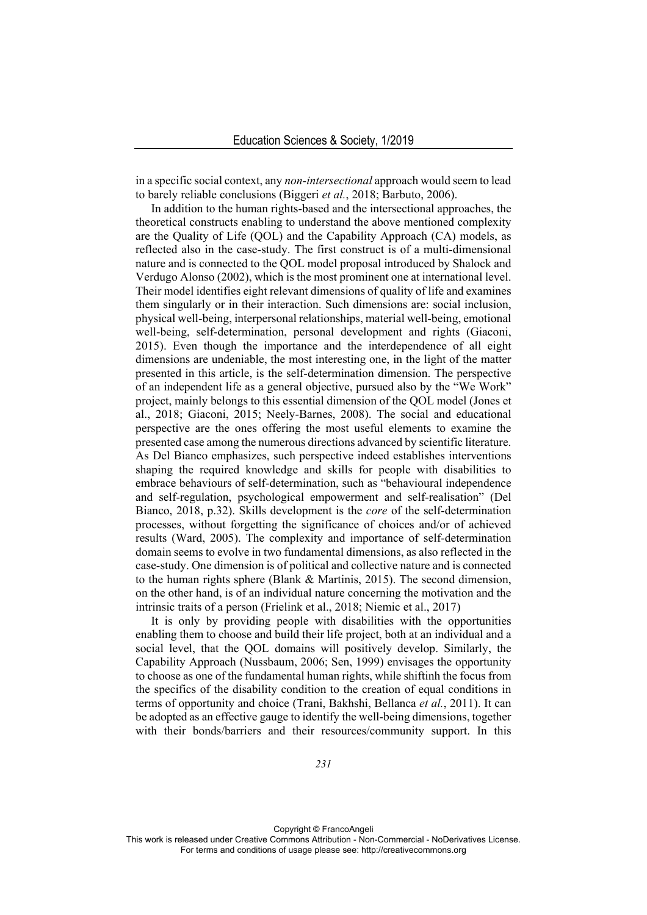in a specific social context, any *non-intersectional* approach would seem to lead to barely reliable conclusions (Biggeri *et al.*, 2018; Barbuto, 2006).

In addition to the human rights-based and the intersectional approaches, the theoretical constructs enabling to understand the above mentioned complexity are the Quality of Life (QOL) and the Capability Approach (CA) models, as reflected also in the case-study. The first construct is of a multi-dimensional nature and is connected to the QOL model proposal introduced by Shalock and Verdugo Alonso (2002), which is the most prominent one at international level. Their model identifies eight relevant dimensions of quality of life and examines them singularly or in their interaction. Such dimensions are: social inclusion, physical well-being, interpersonal relationships, material well-being, emotional well-being, self-determination, personal development and rights (Giaconi, 2015). Even though the importance and the interdependence of all eight dimensions are undeniable, the most interesting one, in the light of the matter presented in this article, is the self-determination dimension. The perspective of an independent life as a general objective, pursued also by the "We Work" project, mainly belongs to this essential dimension of the QOL model (Jones et al., 2018; Giaconi, 2015; Neely-Barnes, 2008). The social and educational perspective are the ones offering the most useful elements to examine the presented case among the numerous directions advanced by scientific literature. As Del Bianco emphasizes, such perspective indeed establishes interventions shaping the required knowledge and skills for people with disabilities to embrace behaviours of self-determination, such as "behavioural independence and self-regulation, psychological empowerment and self-realisation" (Del Bianco, 2018, p.32). Skills development is the *core* of the self-determination processes, without forgetting the significance of choices and/or of achieved results (Ward, 2005). The complexity and importance of self-determination domain seems to evolve in two fundamental dimensions, as also reflected in the case-study. One dimension is of political and collective nature and is connected to the human rights sphere (Blank & Martinis, 2015). The second dimension, on the other hand, is of an individual nature concerning the motivation and the intrinsic traits of a person (Frielink et al., 2018; Niemic et al., 2017)

It is only by providing people with disabilities with the opportunities enabling them to choose and build their life project, both at an individual and a social level, that the QOL domains will positively develop. Similarly, the Capability Approach (Nussbaum, 2006; Sen, 1999) envisages the opportunity to choose as one of the fundamental human rights, while shiftinh the focus from the specifics of the disability condition to the creation of equal conditions in terms of opportunity and choice (Trani, Bakhshi, Bellanca *et al.*, 2011). It can be adopted as an effective gauge to identify the well-being dimensions, together with their bonds/barriers and their resources/community support. In this

Copyright © FrancoAngeli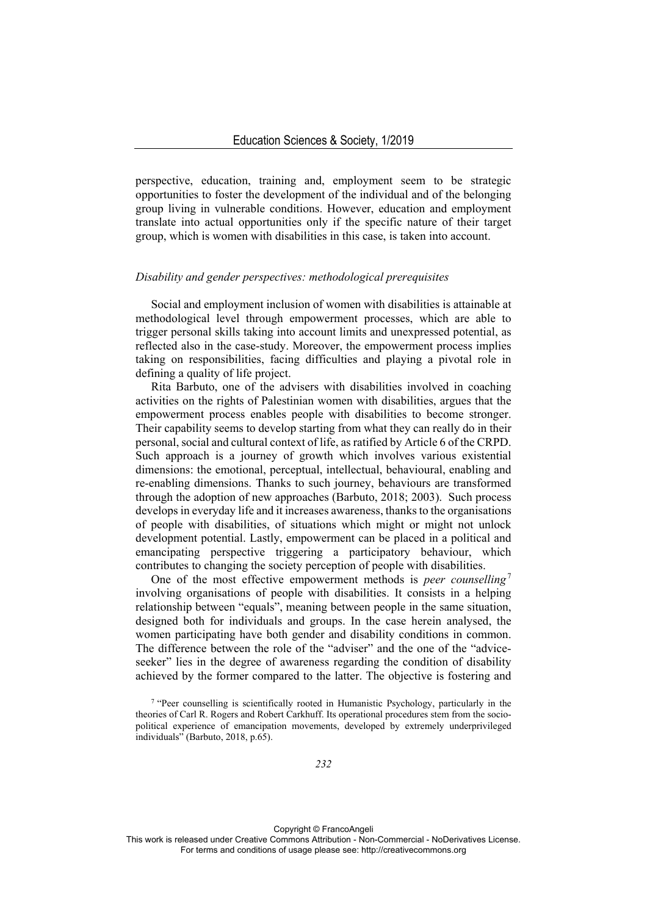perspective, education, training and, employment seem to be strategic opportunities to foster the development of the individual and of the belonging group living in vulnerable conditions. However, education and employment translate into actual opportunities only if the specific nature of their target group, which is women with disabilities in this case, is taken into account.

### *Disability and gender perspectives: methodological prerequisites*

Social and employment inclusion of women with disabilities is attainable at methodological level through empowerment processes, which are able to trigger personal skills taking into account limits and unexpressed potential, as reflected also in the case-study. Moreover, the empowerment process implies taking on responsibilities, facing difficulties and playing a pivotal role in defining a quality of life project.

Rita Barbuto, one of the advisers with disabilities involved in coaching activities on the rights of Palestinian women with disabilities, argues that the empowerment process enables people with disabilities to become stronger. Their capability seems to develop starting from what they can really do in their personal, social and cultural context of life, as ratified by Article 6 of the CRPD. Such approach is a journey of growth which involves various existential dimensions: the emotional, perceptual, intellectual, behavioural, enabling and re-enabling dimensions. Thanks to such journey, behaviours are transformed through the adoption of new approaches (Barbuto, 2018; 2003). Such process develops in everyday life and it increases awareness, thanks to the organisations of people with disabilities, of situations which might or might not unlock development potential. Lastly, empowerment can be placed in a political and emancipating perspective triggering a participatory behaviour, which contributes to changing the society perception of people with disabilities.

One of the most effective empowerment methods is *peer counselling*<sup>7</sup> involving organisations of people with disabilities. It consists in a helping relationship between "equals", meaning between people in the same situation, designed both for individuals and groups. In the case herein analysed, the women participating have both gender and disability conditions in common. The difference between the role of the "adviser" and the one of the "adviceseeker" lies in the degree of awareness regarding the condition of disability achieved by the former compared to the latter. The objective is fostering and

Copyright © FrancoAngeli

<sup>7 &</sup>quot;Peer counselling is scientifically rooted in Humanistic Psychology, particularly in the theories of Carl R. Rogers and Robert Carkhuff. Its operational procedures stem from the sociopolitical experience of emancipation movements, developed by extremely underprivileged individuals" (Barbuto, 2018, p.65).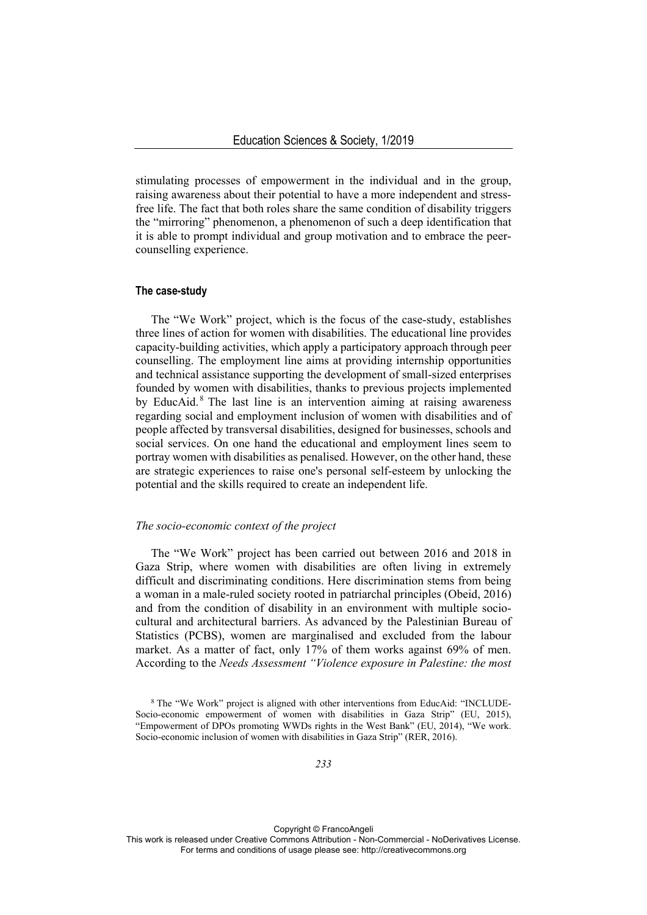stimulating processes of empowerment in the individual and in the group, raising awareness about their potential to have a more independent and stressfree life. The fact that both roles share the same condition of disability triggers the "mirroring" phenomenon, a phenomenon of such a deep identification that it is able to prompt individual and group motivation and to embrace the peercounselling experience.

# **The case-study**

The "We Work" project, which is the focus of the case-study, establishes three lines of action for women with disabilities. The educational line provides capacity-building activities, which apply a participatory approach through peer counselling. The employment line aims at providing internship opportunities and technical assistance supporting the development of small-sized enterprises founded by women with disabilities, thanks to previous projects implemented by EducAid.<sup>8</sup> The last line is an intervention aiming at raising awareness regarding social and employment inclusion of women with disabilities and of people affected by transversal disabilities, designed for businesses, schools and social services. On one hand the educational and employment lines seem to portray women with disabilities as penalised. However, on the other hand, these are strategic experiences to raise one's personal self-esteem by unlocking the potential and the skills required to create an independent life.

### *The socio-economic context of the project*

The "We Work" project has been carried out between 2016 and 2018 in Gaza Strip, where women with disabilities are often living in extremely difficult and discriminating conditions. Here discrimination stems from being a woman in a male-ruled society rooted in patriarchal principles (Obeid, 2016) and from the condition of disability in an environment with multiple sociocultural and architectural barriers. As advanced by the Palestinian Bureau of Statistics (PCBS), women are marginalised and excluded from the labour market. As a matter of fact, only 17% of them works against 69% of men. According to the *Needs Assessment "Violence exposure in Palestine: the most* 

<sup>8</sup> The "We Work" project is aligned with other interventions from EducAid: "INCLUDE-Socio-economic empowerment of women with disabilities in Gaza Strip" (EU, 2015), "Empowerment of DPOs promoting WWDs rights in the West Bank" (EU, 2014), "We work. Socio-economic inclusion of women with disabilities in Gaza Strip" (RER, 2016).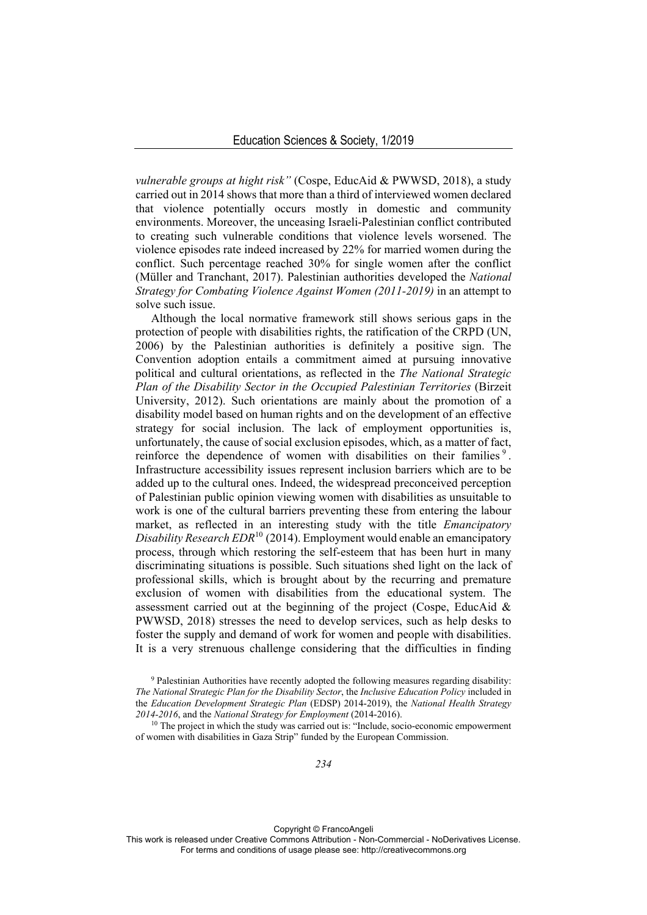*vulnerable groups at hight risk"* (Cospe, EducAid & PWWSD, 2018), a study carried out in 2014 shows that more than a third of interviewed women declared that violence potentially occurs mostly in domestic and community environments. Moreover, the unceasing Israeli-Palestinian conflict contributed to creating such vulnerable conditions that violence levels worsened. The violence episodes rate indeed increased by 22% for married women during the conflict. Such percentage reached 30% for single women after the conflict (Müller and Tranchant, 2017). Palestinian authorities developed the *National Strategy for Combating Violence Against Women (2011-2019)* in an attempt to solve such issue.

Although the local normative framework still shows serious gaps in the protection of people with disabilities rights, the ratification of the CRPD (UN, 2006) by the Palestinian authorities is definitely a positive sign. The Convention adoption entails a commitment aimed at pursuing innovative political and cultural orientations, as reflected in the *The National Strategic Plan of the Disability Sector in the Occupied Palestinian Territories* (Birzeit University, 2012). Such orientations are mainly about the promotion of a disability model based on human rights and on the development of an effective strategy for social inclusion. The lack of employment opportunities is, unfortunately, the cause of social exclusion episodes, which, as a matter of fact, reinforce the dependence of women with disabilities on their families  $\delta$ . Infrastructure accessibility issues represent inclusion barriers which are to be added up to the cultural ones. Indeed, the widespread preconceived perception of Palestinian public opinion viewing women with disabilities as unsuitable to work is one of the cultural barriers preventing these from entering the labour market, as reflected in an interesting study with the title *Emancipatory Disability Research EDR*<sup>10</sup> (2014). Employment would enable an emancipatory process, through which restoring the self-esteem that has been hurt in many discriminating situations is possible. Such situations shed light on the lack of professional skills, which is brought about by the recurring and premature exclusion of women with disabilities from the educational system. The assessment carried out at the beginning of the project (Cospe, EducAid & PWWSD, 2018) stresses the need to develop services, such as help desks to foster the supply and demand of work for women and people with disabilities. It is a very strenuous challenge considering that the difficulties in finding

Copyright © FrancoAngeli

<sup>&</sup>lt;sup>9</sup> Palestinian Authorities have recently adopted the following measures regarding disability: *The National Strategic Plan for the Disability Sector*, the *Inclusive Education Policy* included in the *Education Development Strategic Plan* (EDSP) 2014-2019), the *National Health Strategy 2014-2016*, and the *National Strategy for Employment* (2014-2016). 10 The project in which the study was carried out is: "Include, socio-economic empowerment

of women with disabilities in Gaza Strip" funded by the European Commission.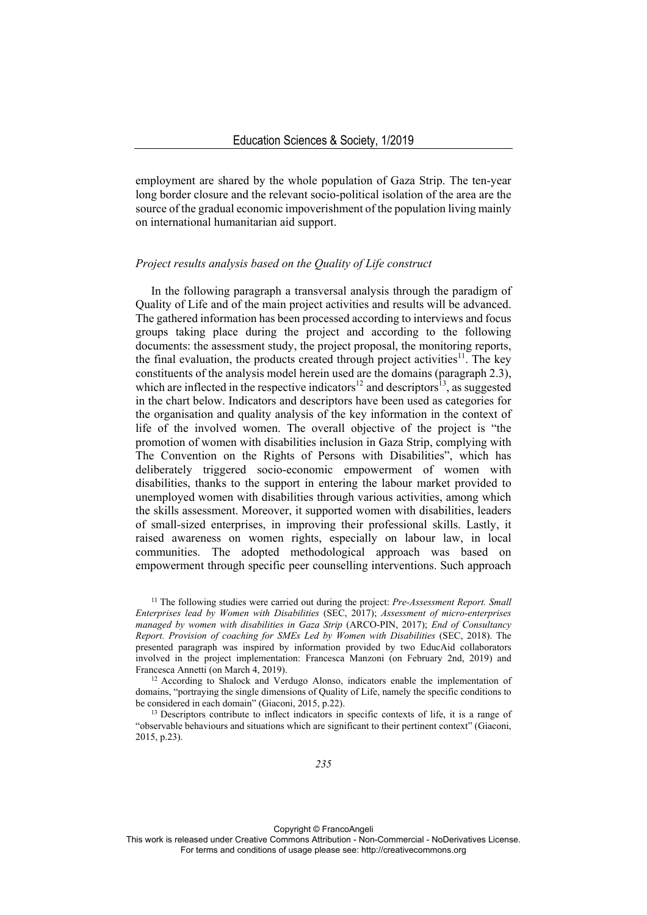employment are shared by the whole population of Gaza Strip. The ten-year long border closure and the relevant socio-political isolation of the area are the source of the gradual economic impoverishment of the population living mainly on international humanitarian aid support.

# *Project results analysis based on the Quality of Life construct*

In the following paragraph a transversal analysis through the paradigm of Quality of Life and of the main project activities and results will be advanced. The gathered information has been processed according to interviews and focus groups taking place during the project and according to the following documents: the assessment study, the project proposal, the monitoring reports, the final evaluation, the products created through project activities<sup>11</sup>. The key constituents of the analysis model herein used are the domains (paragraph 2.3), which are inflected in the respective indicators<sup>12</sup> and descriptors<sup>13</sup>, as suggested in the chart below. Indicators and descriptors have been used as categories for the organisation and quality analysis of the key information in the context of life of the involved women. The overall objective of the project is "the promotion of women with disabilities inclusion in Gaza Strip, complying with The Convention on the Rights of Persons with Disabilities", which has deliberately triggered socio-economic empowerment of women with disabilities, thanks to the support in entering the labour market provided to unemployed women with disabilities through various activities, among which the skills assessment. Moreover, it supported women with disabilities, leaders of small-sized enterprises, in improving their professional skills. Lastly, it raised awareness on women rights, especially on labour law, in local communities. The adopted methodological approach was based on empowerment through specific peer counselling interventions. Such approach

<sup>11</sup> The following studies were carried out during the project: *Pre-Assessment Report. Small Enterprises lead by Women with Disabilities* (SEC, 2017); *Assessment of micro-enterprises managed by women with disabilities in Gaza Strip* (ARCO-PIN, 2017); *End of Consultancy Report. Provision of coaching for SMEs Led by Women with Disabilities* (SEC, 2018). The presented paragraph was inspired by information provided by two EducAid collaborators involved in the project implementation: Francesca Manzoni (on February 2nd, 2019) and Francesca Annetti (on March 4, 2019).<br><sup>12</sup> According to Shalock and Verdugo Alonso, indicators enable the implementation of

domains, "portraying the single dimensions of Quality of Life, namely the specific conditions to be considered in each domain" (Giaconi, 2015, p.22).<br><sup>13</sup> Descriptors contribute to inflect indicators in specific contexts of life, it is a range of

"observable behaviours and situations which are significant to their pertinent context" (Giaconi, 2015, p.23).

Copyright © FrancoAngeli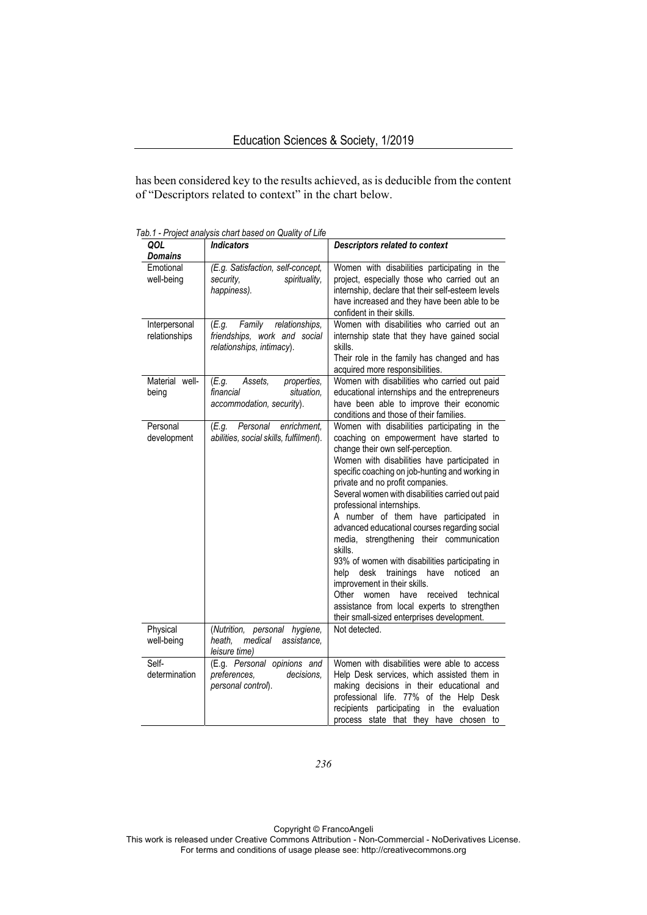has been considered key to the results achieved, as is deducible from the content of "Descriptors related to context" in the chart below.

| QOL                            | <b>Indicators</b>                                                                              | <b>Descriptors related to context</b>                                                                                                                                                                                                                                                                                                                                                                                                                                                                                                                                                                                                                                                                                                                                                    |
|--------------------------------|------------------------------------------------------------------------------------------------|------------------------------------------------------------------------------------------------------------------------------------------------------------------------------------------------------------------------------------------------------------------------------------------------------------------------------------------------------------------------------------------------------------------------------------------------------------------------------------------------------------------------------------------------------------------------------------------------------------------------------------------------------------------------------------------------------------------------------------------------------------------------------------------|
| <b>Domains</b>                 |                                                                                                |                                                                                                                                                                                                                                                                                                                                                                                                                                                                                                                                                                                                                                                                                                                                                                                          |
| Emotional<br>well-being        | (E.g. Satisfaction, self-concept,<br>spirituality,<br>security.<br>happiness).                 | Women with disabilities participating in the<br>project, especially those who carried out an<br>internship, declare that their self-esteem levels<br>have increased and they have been able to be<br>confident in their skills.                                                                                                                                                                                                                                                                                                                                                                                                                                                                                                                                                          |
| Interpersonal<br>relationships | (E.g.<br>Family<br>relationships,<br>friendships, work and social<br>relationships, intimacy). | Women with disabilities who carried out an<br>internship state that they have gained social<br>skills.<br>Their role in the family has changed and has<br>acquired more responsibilities.                                                                                                                                                                                                                                                                                                                                                                                                                                                                                                                                                                                                |
| Material well-<br>being        | properties,<br>(E.g.<br>Assets.<br>financial<br>situation,<br>accommodation, security).        | Women with disabilities who carried out paid<br>educational internships and the entrepreneurs<br>have been able to improve their economic<br>conditions and those of their families.                                                                                                                                                                                                                                                                                                                                                                                                                                                                                                                                                                                                     |
| Personal<br>development        | Personal<br>enrichment.<br>(E.g.<br>abilities, social skills, fulfilment).                     | Women with disabilities participating in the<br>coaching on empowerment have started to<br>change their own self-perception.<br>Women with disabilities have participated in<br>specific coaching on job-hunting and working in<br>private and no profit companies.<br>Several women with disabilities carried out paid<br>professional internships.<br>A number of them have participated in<br>advanced educational courses regarding social<br>media, strengthening their communication<br>skills.<br>93% of women with disabilities participating in<br>trainings<br>have<br>help<br>desk<br>noticed<br>an<br>improvement in their skills.<br>Other women<br>have<br>received technical<br>assistance from local experts to strengthen<br>their small-sized enterprises development. |
| Physical<br>well-being         | (Nutrition, personal hygiene,<br>heath.<br>medical<br>assistance,<br>leisure time)             | Not detected.                                                                                                                                                                                                                                                                                                                                                                                                                                                                                                                                                                                                                                                                                                                                                                            |
| Self-<br>determination         | (E.g. Personal opinions and<br>preferences.<br>decisions.<br>personal control).                | Women with disabilities were able to access<br>Help Desk services, which assisted them in<br>making decisions in their educational and<br>professional life. 77% of the Help Desk<br>recipients participating in the evaluation<br>process state that they have chosen to                                                                                                                                                                                                                                                                                                                                                                                                                                                                                                                |

*Tab.1 - Project analysis chart based on Quality of Life* 

*236*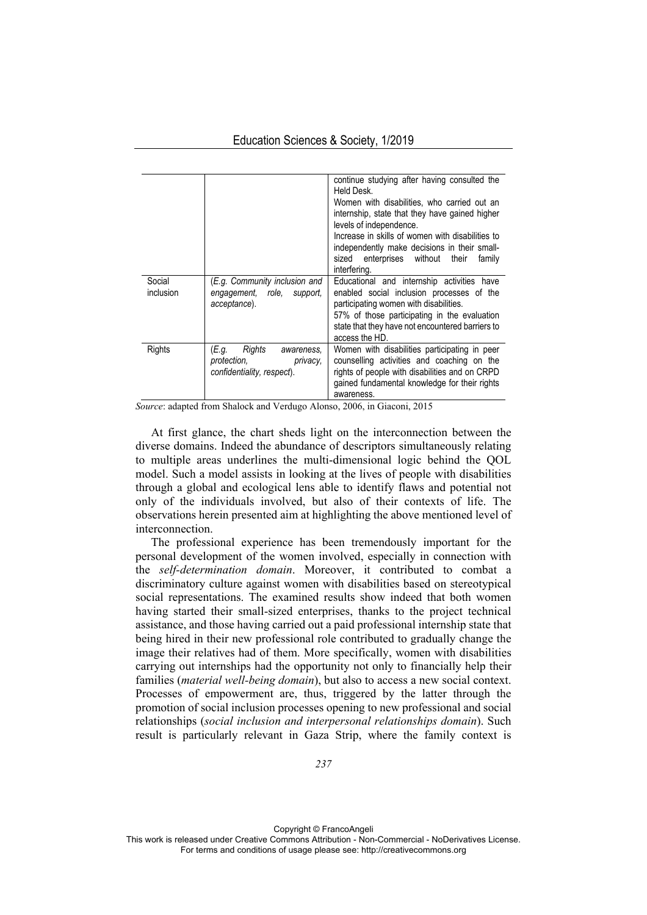|                     |                                                                                        | continue studying after having consulted the<br>Held Desk.<br>Women with disabilities, who carried out an<br>internship, state that they have gained higher<br>levels of independence.<br>Increase in skills of women with disabilities to<br>independently make decisions in their small-<br>enterprises without<br>sized<br>their<br>family<br>interfering. |
|---------------------|----------------------------------------------------------------------------------------|---------------------------------------------------------------------------------------------------------------------------------------------------------------------------------------------------------------------------------------------------------------------------------------------------------------------------------------------------------------|
| Social<br>inclusion | (E.g. Community inclusion and<br>engagement, role,<br>support.<br>acceptance).         | Educational and internship activities have<br>enabled social inclusion processes of the<br>participating women with disabilities.<br>57% of those participating in the evaluation<br>state that they have not encountered barriers to<br>access the HD.                                                                                                       |
| Rights              | (E.g.<br>Rights<br>awareness.<br>protection.<br>privacy.<br>confidentiality, respect). | Women with disabilities participating in peer<br>counselling activities and coaching on the<br>rights of people with disabilities and on CRPD<br>gained fundamental knowledge for their rights<br>awareness.                                                                                                                                                  |

*Source*: adapted from Shalock and Verdugo Alonso, 2006, in Giaconi, 2015

At first glance, the chart sheds light on the interconnection between the diverse domains. Indeed the abundance of descriptors simultaneously relating to multiple areas underlines the multi-dimensional logic behind the QOL model. Such a model assists in looking at the lives of people with disabilities through a global and ecological lens able to identify flaws and potential not only of the individuals involved, but also of their contexts of life. The observations herein presented aim at highlighting the above mentioned level of interconnection.

The professional experience has been tremendously important for the personal development of the women involved, especially in connection with the *self-determination domain*. Moreover, it contributed to combat a discriminatory culture against women with disabilities based on stereotypical social representations. The examined results show indeed that both women having started their small-sized enterprises, thanks to the project technical assistance, and those having carried out a paid professional internship state that being hired in their new professional role contributed to gradually change the image their relatives had of them. More specifically, women with disabilities carrying out internships had the opportunity not only to financially help their families (*material well-being domain*), but also to access a new social context. Processes of empowerment are, thus, triggered by the latter through the promotion of social inclusion processes opening to new professional and social relationships (*social inclusion and interpersonal relationships domain*). Such result is particularly relevant in Gaza Strip, where the family context is

Copyright © FrancoAngeli This work is released under Creative Commons Attribution - Non-Commercial - NoDerivatives License. For terms and conditions of usage please see: http://creativecommons.org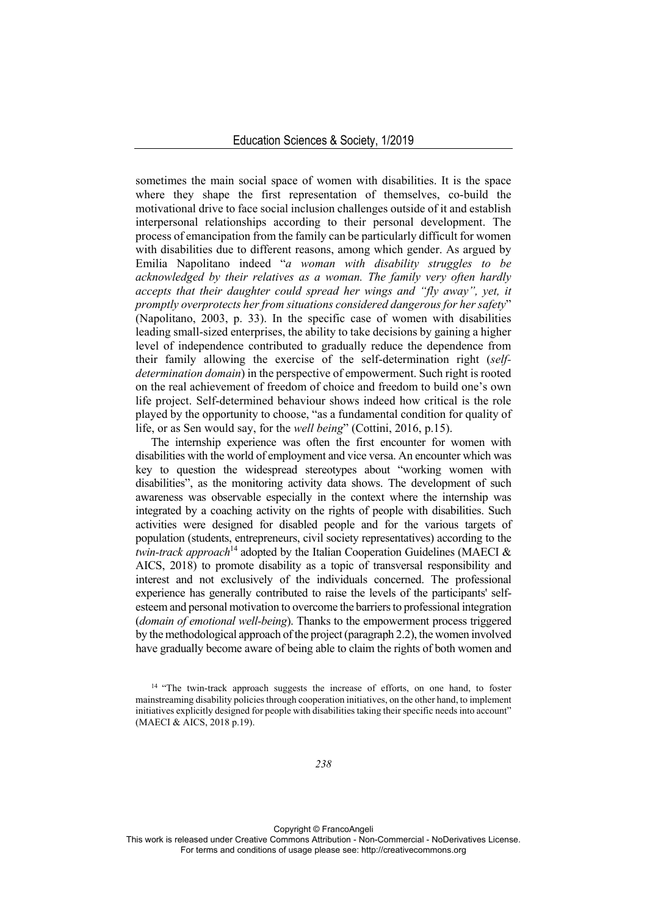sometimes the main social space of women with disabilities. It is the space where they shape the first representation of themselves, co-build the motivational drive to face social inclusion challenges outside of it and establish interpersonal relationships according to their personal development. The process of emancipation from the family can be particularly difficult for women with disabilities due to different reasons, among which gender. As argued by Emilia Napolitano indeed "*a woman with disability struggles to be acknowledged by their relatives as a woman. The family very often hardly accepts that their daughter could spread her wings and "fly away", yet, it promptly overprotects her from situations considered dangerous for her safety*" (Napolitano, 2003, p. 33). In the specific case of women with disabilities leading small-sized enterprises, the ability to take decisions by gaining a higher level of independence contributed to gradually reduce the dependence from their family allowing the exercise of the self-determination right (*selfdetermination domain*) in the perspective of empowerment. Such right is rooted on the real achievement of freedom of choice and freedom to build one's own life project. Self-determined behaviour shows indeed how critical is the role played by the opportunity to choose, "as a fundamental condition for quality of life, or as Sen would say, for the *well being*" (Cottini, 2016, p.15).

The internship experience was often the first encounter for women with disabilities with the world of employment and vice versa. An encounter which was key to question the widespread stereotypes about "working women with disabilities", as the monitoring activity data shows. The development of such awareness was observable especially in the context where the internship was integrated by a coaching activity on the rights of people with disabilities. Such activities were designed for disabled people and for the various targets of population (students, entrepreneurs, civil society representatives) according to the *twin-track approach*14 adopted by the Italian Cooperation Guidelines (MAECI & AICS, 2018) to promote disability as a topic of transversal responsibility and interest and not exclusively of the individuals concerned. The professional experience has generally contributed to raise the levels of the participants' selfesteem and personal motivation to overcome the barriers to professional integration (*domain of emotional well-being*). Thanks to the empowerment process triggered by the methodological approach of the project (paragraph 2.2), the women involved have gradually become aware of being able to claim the rights of both women and

*238* 

Copyright © FrancoAngeli

<sup>&</sup>lt;sup>14</sup> "The twin-track approach suggests the increase of efforts, on one hand, to foster mainstreaming disability policies through cooperation initiatives, on the other hand, to implement initiatives explicitly designed for people with disabilities taking their specific needs into account" (MAECI & AICS, 2018 p.19).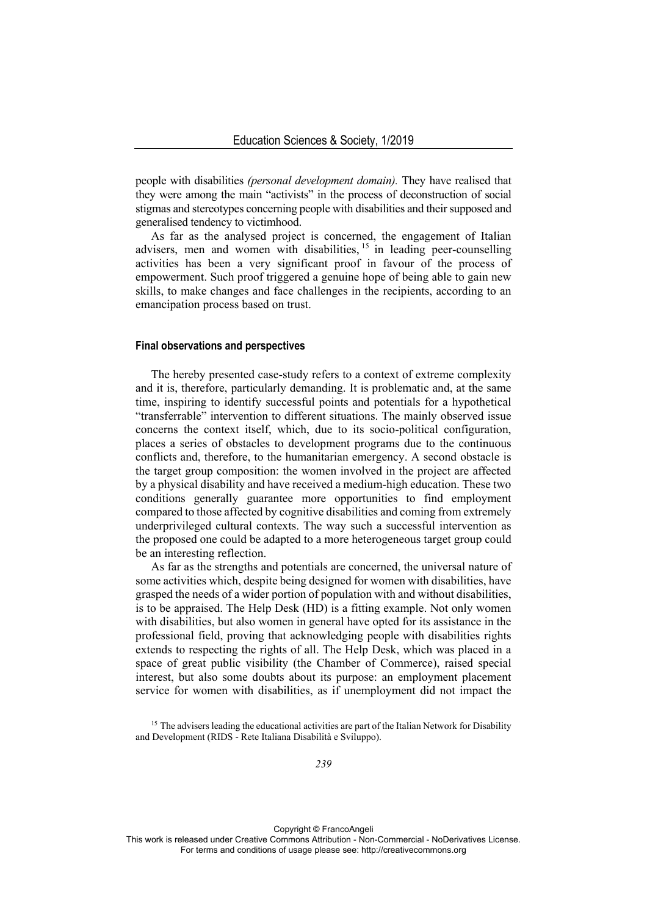people with disabilities *(personal development domain).* They have realised that they were among the main "activists" in the process of deconstruction of social stigmas and stereotypes concerning people with disabilities and their supposed and generalised tendency to victimhood.

As far as the analysed project is concerned, the engagement of Italian advisers, men and women with disabilities,  $15 \text{ in leading }$  peer-counselling activities has been a very significant proof in favour of the process of empowerment. Such proof triggered a genuine hope of being able to gain new skills, to make changes and face challenges in the recipients, according to an emancipation process based on trust.

# **Final observations and perspectives**

The hereby presented case-study refers to a context of extreme complexity and it is, therefore, particularly demanding. It is problematic and, at the same time, inspiring to identify successful points and potentials for a hypothetical "transferrable" intervention to different situations. The mainly observed issue concerns the context itself, which, due to its socio-political configuration, places a series of obstacles to development programs due to the continuous conflicts and, therefore, to the humanitarian emergency. A second obstacle is the target group composition: the women involved in the project are affected by a physical disability and have received a medium-high education. These two conditions generally guarantee more opportunities to find employment compared to those affected by cognitive disabilities and coming from extremely underprivileged cultural contexts. The way such a successful intervention as the proposed one could be adapted to a more heterogeneous target group could be an interesting reflection.

As far as the strengths and potentials are concerned, the universal nature of some activities which, despite being designed for women with disabilities, have grasped the needs of a wider portion of population with and without disabilities, is to be appraised. The Help Desk (HD) is a fitting example. Not only women with disabilities, but also women in general have opted for its assistance in the professional field, proving that acknowledging people with disabilities rights extends to respecting the rights of all. The Help Desk, which was placed in a space of great public visibility (the Chamber of Commerce), raised special interest, but also some doubts about its purpose: an employment placement service for women with disabilities, as if unemployment did not impact the

Copyright © FrancoAngeli

<sup>&</sup>lt;sup>15</sup> The advisers leading the educational activities are part of the Italian Network for Disability and Development (RIDS - Rete Italiana Disabilità e Sviluppo).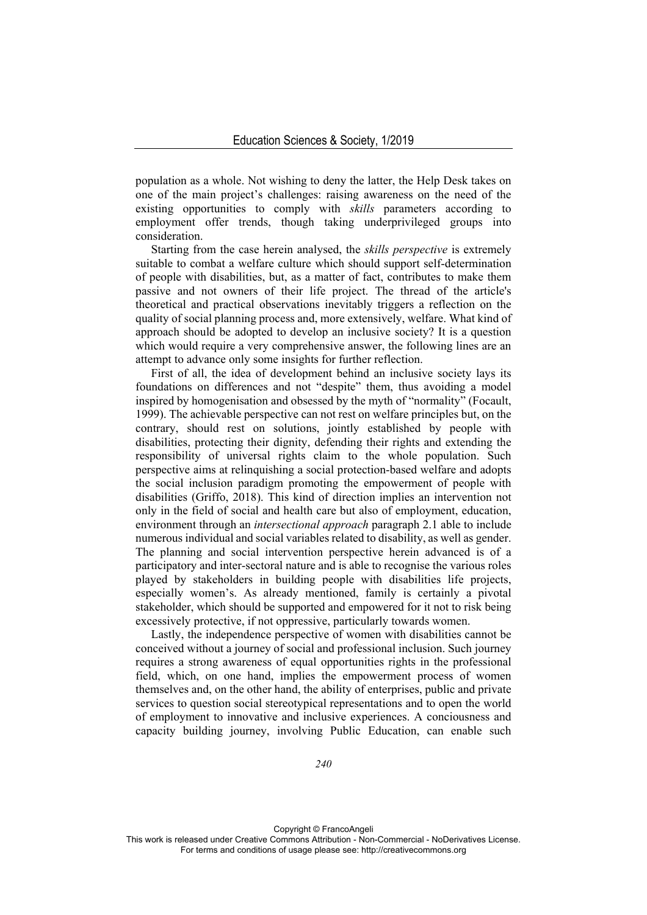population as a whole. Not wishing to deny the latter, the Help Desk takes on one of the main project's challenges: raising awareness on the need of the existing opportunities to comply with *skills* parameters according to employment offer trends, though taking underprivileged groups into consideration.

Starting from the case herein analysed, the *skills perspective* is extremely suitable to combat a welfare culture which should support self-determination of people with disabilities, but, as a matter of fact, contributes to make them passive and not owners of their life project. The thread of the article's theoretical and practical observations inevitably triggers a reflection on the quality of social planning process and, more extensively, welfare. What kind of approach should be adopted to develop an inclusive society? It is a question which would require a very comprehensive answer, the following lines are an attempt to advance only some insights for further reflection.

First of all, the idea of development behind an inclusive society lays its foundations on differences and not "despite" them, thus avoiding a model inspired by homogenisation and obsessed by the myth of "normality" (Focault, 1999). The achievable perspective can not rest on welfare principles but, on the contrary, should rest on solutions, jointly established by people with disabilities, protecting their dignity, defending their rights and extending the responsibility of universal rights claim to the whole population. Such perspective aims at relinquishing a social protection-based welfare and adopts the social inclusion paradigm promoting the empowerment of people with disabilities (Griffo, 2018). This kind of direction implies an intervention not only in the field of social and health care but also of employment, education, environment through an *intersectional approach* paragraph 2.1 able to include numerous individual and social variables related to disability, as well as gender. The planning and social intervention perspective herein advanced is of a participatory and inter-sectoral nature and is able to recognise the various roles played by stakeholders in building people with disabilities life projects, especially women's. As already mentioned, family is certainly a pivotal stakeholder, which should be supported and empowered for it not to risk being excessively protective, if not oppressive, particularly towards women.

Lastly, the independence perspective of women with disabilities cannot be conceived without a journey of social and professional inclusion. Such journey requires a strong awareness of equal opportunities rights in the professional field, which, on one hand, implies the empowerment process of women themselves and, on the other hand, the ability of enterprises, public and private services to question social stereotypical representations and to open the world of employment to innovative and inclusive experiences. A conciousness and capacity building journey, involving Public Education, can enable such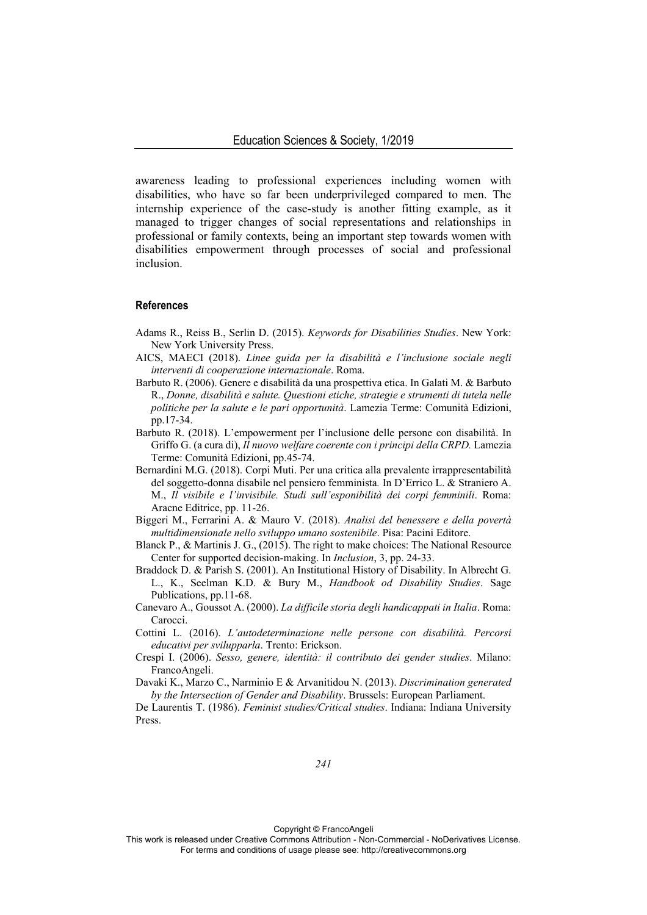awareness leading to professional experiences including women with disabilities, who have so far been underprivileged compared to men. The internship experience of the case-study is another fitting example, as it managed to trigger changes of social representations and relationships in professional or family contexts, being an important step towards women with disabilities empowerment through processes of social and professional inclusion.

### **References**

- Adams R., Reiss B., Serlin D. (2015). *Keywords for Disabilities Studies*. New York: New York University Press.
- AICS, MAECI (2018). *Linee guida per la disabilità e l'inclusione sociale negli interventi di cooperazione internazionale*. Roma.
- Barbuto R. (2006). Genere e disabilità da una prospettiva etica. In Galati M. & Barbuto R., *Donne, disabilità e salute. Questioni etiche, strategie e strumenti di tutela nelle politiche per la salute e le pari opportunità*. Lamezia Terme: Comunità Edizioni, pp.17-34.
- Barbuto R. (2018). L'empowerment per l'inclusione delle persone con disabilità. In Griffo G. (a cura di), *Il nuovo welfare coerente con i principi della CRPD.* Lamezia Terme: Comunità Edizioni, pp.45-74.
- Bernardini M.G. (2018). Corpi Muti. Per una critica alla prevalente irrappresentabilità del soggetto-donna disabile nel pensiero femminista*.* In D'Errico L. & Straniero A. M., *Il visibile e l'invisibile. Studi sull'esponibilità dei corpi femminili*. Roma: Aracne Editrice, pp. 11-26.
- Biggeri M., Ferrarini A. & Mauro V. (2018). *Analisi del benessere e della povertà multidimensionale nello sviluppo umano sostenibile*. Pisa: Pacini Editore.
- Blanck P., & Martinis J. G., (2015). The right to make choices: The National Resource Center for supported decision-making. In *Inclusion*, 3, pp. 24-33.
- Braddock D. & Parish S. (2001). An Institutional History of Disability. In Albrecht G. L., K., Seelman K.D. & Bury M., *Handbook od Disability Studies*. Sage Publications, pp.11-68.
- Canevaro A., Goussot A. (2000). *La difficile storia degli handicappati in Italia*. Roma: Carocci.
- Cottini L. (2016). *L'autodeterminazione nelle persone con disabilità. Percorsi educativi per svilupparla*. Trento: Erickson.
- Crespi I. (2006). *Sesso, genere, identità: il contributo dei gender studies*. Milano: FrancoAngeli.
- Davaki K., Marzo C., Narminio E & Arvanitidou N. (2013). *Discrimination generated by the Intersection of Gender and Disability*. Brussels: European Parliament.

De Laurentis T. (1986). *Feminist studies/Critical studies*. Indiana: Indiana University Press.

Copyright © FrancoAngeli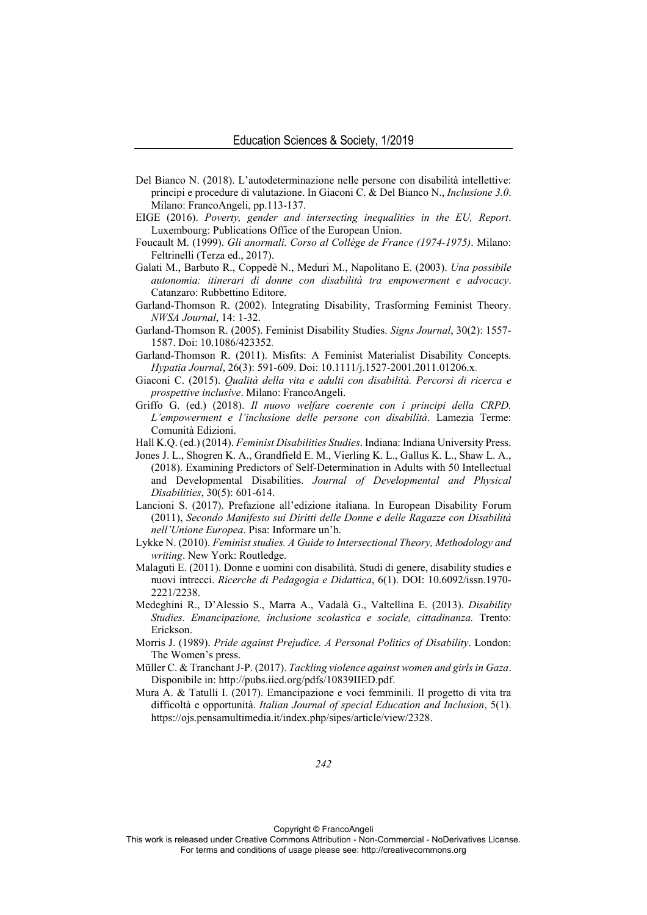- Del Bianco N. (2018). L'autodeterminazione nelle persone con disabilità intellettive: principi e procedure di valutazione. In Giaconi C. & Del Bianco N., *Inclusione 3.0*. Milano: FrancoAngeli, pp.113-137.
- EIGE (2016). *Poverty, gender and intersecting inequalities in the EU, Report*. Luxembourg: Publications Office of the European Union.
- Foucault M. (1999). *Gli anormali. Corso al Collège de France (1974-1975)*. Milano: Feltrinelli (Terza ed., 2017).
- Galati M., Barbuto R., Coppedè N., Meduri M., Napolitano E. (2003). *Una possibile autonomia: itinerari di donne con disabilità tra empowerment e advocacy*. Catanzaro: Rubbettino Editore.
- Garland-Thomson R. (2002). Integrating Disability, Trasforming Feminist Theory. *NWSA Journal*, 14: 1-32.
- Garland-Thomson R. (2005). Feminist Disability Studies. *Signs Journal*, 30(2): 1557- 1587. Doi: 10.1086/423352.
- Garland-Thomson R. (2011). Misfits: A Feminist Materialist Disability Concepts. *Hypatia Journal*, 26(3): 591-609. Doi: 10.1111/j.1527-2001.2011.01206.x.
- Giaconi C. (2015). *Qualità della vita e adulti con disabilità. Percorsi di ricerca e prospettive inclusive*. Milano: FrancoAngeli.
- Griffo G. (ed.) (2018). *Il nuovo welfare coerente con i principi della CRPD. L'empowerment e l'inclusione delle persone con disabilità*. Lamezia Terme: Comunità Edizioni.
- Hall K.Q. (ed.) (2014). *Feminist Disabilities Studies*. Indiana: Indiana University Press.
- Jones J. L., Shogren K. A., Grandfield E. M., Vierling K. L., Gallus K. L., Shaw L. A., (2018). Examining Predictors of Self-Determination in Adults with 50 Intellectual and Developmental Disabilities. *Journal of Developmental and Physical Disabilities*, 30(5): 601-614.
- Lancioni S. (2017). Prefazione all'edizione italiana. In European Disability Forum (2011), *Secondo Manifesto sui Diritti delle Donne e delle Ragazze con Disabilità nell'Unione Europea*. Pisa: Informare un'h.
- Lykke N. (2010). *Feminist studies. A Guide to Intersectional Theory, Methodology and writing*. New York: Routledge.
- Malaguti E. (2011). Donne e uomini con disabilità. Studi di genere, disability studies e nuovi intrecci. *Ricerche di Pedagogia e Didattica*, 6(1). DOI: 10.6092/issn.1970- 2221/2238.
- Medeghini R., D'Alessio S., Marra A., Vadalà G., Valtellina E. (2013). *Disability Studies. Emancipazione, inclusione scolastica e sociale, cittadinanza.* Trento: Erickson.
- Morris J. (1989). *Pride against Prejudice. A Personal Politics of Disability*. London: The Women's press.
- Müller C. & Tranchant J-P. (2017). *Tackling violence against women and girls in Gaza*. Disponibile in: http://pubs.iied.org/pdfs/10839IIED.pdf.
- Mura A. & Tatulli I. (2017). Emancipazione e voci femminili. Il progetto di vita tra difficoltà e opportunità. *Italian Journal of special Education and Inclusion*, 5(1). https://ojs.pensamultimedia.it/index.php/sipes/article/view/2328.

Copyright © FrancoAngeli

This work is released under Creative Commons Attribution - Non-Commercial - NoDerivatives License. For terms and conditions of usage please see: http://creativecommons.org